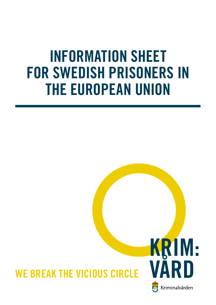# INFORMATION SHEET FOR SWEDISH PRISONERS IN THE EUROPEAN UNION

## WE BREAK THE VICIOUS CIRCLE

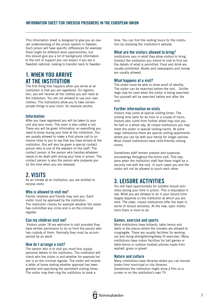This information sheet is designed to give you an overall understanding of the prison system in Sweden. Each prison will have specific differences for example there might be different work opportunities, but this should give you a bit of background information to the sort of support you can expect if you are a Swedish national, looking to transfer back to Sweden.

## 1. WHEN YOU ARRIVE AT THE INSTITUTION

The first thing that happens when you arrive at an institution is that you are registered. On registration, you will receive all the clothes you will need at the institution. You are not allowed to use your own clothes. The institutions allow you to take certain private things to your room, for example photos.

#### Information

After you have registered you will be taken to your unit and your room. The room is also called a cell. There you will be given information on everything you need to know during your time at the institution. You are usually allowed to make a first phone call to someone close to you to say that you have arrived at the institution. You will also be given a special contact person who is one of the warders on the staff. The contact person is the person who handles whatever needs to be dealt with during your time in prison. The contact person is also the person who prepares you for the time when you are released.

## 2. VISITS

As an inmate at an institution, you are entitled to receive visits.

#### Who is allowed to visit me?

Family, relatives and friends may visit you. Each visitor must be approved by the institution. The institution checks for example whether the visitor has committed any crime and is on the criminal register.

#### Can my children visit me?

 Visitors under 18 are welcome to visit provided they have written permission to do so from the person who has custody of them. Normally they must be accompanied by an adult.

#### How do I arrange a visit?

The person who is to visit you must first supply personal details to the institution. The institution will check who the visitor is and whether for example he/ she is on the criminal register. The visitor will receive a letter at home stating whether approval has been granted and specifying the permitted visiting times. The visitor may then ring the institution to book a

time. You can find the visiting hours for the institution by checking the institution's website.

#### What are the visitors allowed to bring?

Institutions vary in what they allow visitors to bring. Contact the institution you intend to visit to find out the details of what is permitted. Food and drink are usually prohibited. Books and newspapers and money are usually allowed.

#### What happens at a visit?

The visitor must be able to show proof of identity. The visitor can be searched before the visit. . Sniffer dogs may be used when the visitor is being searched. You yourself will be searched before and after the visit.

#### Further information on visits

Visitors may come at special visiting times. The visiting time lasts for an hour or a couple of hours. Visitors who come from further afield may visit you for half or a whole day. At closed institutions you may meet the visitor in special visiting rooms. At some large institutions there are special visiting apartments where you can be with your family for longer periods. Most closed institutions have child-friendly visiting rooms.

Sometimes staff remain present and supervise proceedings throughout the entire visit. This happens when the institution staff feel there might be a security risk with the visit. In such cases you and the visitor will not be allowed to touch each other.

## 3. LEISURE ACTIVITIES

You will have opportunities for suitable leisure activities during your time in prison. This is stipulated in law. What you are allowed to do in your leisure time largely depends on the institution at which you are held. The older, closed institutions offer the least in terms of leisure activities. At the new, open institutions there is more to do.

#### Games, exercise and sports

Most institutions have billiards, table tennis and darts in the places where the inmates are allowed to congregate. There are usually facilities for working out and doing strengthening/keep fit exercises. Many institutions have indoor facilities for ball games or table tennis or outdoor football pitches made from asphalt, grass or gravel.

#### Nature and culture

Many institutions have libraries where you can borrow books from municipal or city libraries. Sometimes the institution might show a film on a screen or on the institution's own TV.

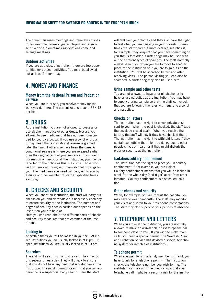The church arranges meetings and there are courses in, for example, cookery, guitar playing and exercise or keep-fit. Sometimes associations come and arrange meetings.

#### Outdoor activities

If you are at a closed institution, there are few opportunities for outdoor activities. You may be allowed out at least 1 hour a day.

## 4. MONEY AND FINANCE

#### Money from the National Prison and Probation Service

When you are in prison, you receive money for the work you do there. The current rate is around SEK 13 per hour.

## 5. DRUGS

At the institution you are not allowed to possess or use alcohol, narcotics or other drugs. Nor are you allowed to use medicine that has not been prescribed for you by a doctor. If you use alcohol or drugs, it may mean that a conditional release is granted later than might otherwise have been the case. A conditional release is where you are released earlier than the original term of your sentence. If you are in possession of narcotics at the institution, you may be reported to the police as this is a crime. Those who visit you may not bring with them alcohol or drugs for you. The medicines you need will be given to you by a nurse or other member of staff at specified times each day.

## 6. CHECKS AND SECURITY

When you are at an institution, the staff will carry out checks on you and do whatever is necessary each day to ensure security at the institution. The number and degree of security checks carried out depends on the institution you are held at.

Here you can read about the different sorts of checks and security measures that are common at the institutions.

#### Locking in

At certain times you will be locked in your cell. At closed institutions you are usually locked in at 8 pm . At open institutions you are usually locked in at 10 pm.

#### Searches

The staff will search you and your cell. They may do this several times a day. They will check to ensure that you do not have anything that is forbidden at the institution. The most common search that you will experience is a superficial body search. Here the staff

will feel over your clothes and they also have the right to feel what you are carrying in your pockets. Sometimes the staff carry out more detailed searches if, for example, they suspect that you have something on you that is forbidden. Sniffer dogs may be used with all the different types of searches. The staff normally always search you when you are to move to another place at the institution or if you are to go outside the institution. You will be searched before and after receiving visits. The person visiting you can also be searched. A sniffer dog may also be used here.

#### Urine sample and other tests

You are not allowed to have or drink alcohol or to have or use narcotics at the institution. You may have to supply a urine sample so that the staff can check that you are following the rules with regard to alcohol and narcotics.

#### Checks on letters

The institution has the right to check private post sent to you. When the post is checked, the staff tape the envelope closed again. When you receive the letters, the staff will say if they have checked them. The institution has the right to withhold letters if they contain something that might be dangerous to other people's lives or health or if they might disturb the order or security at the institution.

#### Isolation/solitary confinement

The institution has the right to place you in solitary confinement if, for example, you are violent. Solitary confinement means that you will be locked in a cell for the whole day (and night) apart from other inmates. Solitary confinement is also called isolation.

#### Other checks and security

When, for example, you are to visit the hospital, you may have to wear handcuffs. The staff may monitor your visits and listen to your telephone conversations. The staff may also supervise your periods of absence.

## 7. TELEPHONE AND LETTERS

When you arrive at the institution, you are normally allowed to make an arrival call, a first telephone call to someone close to you. If you wish to make more calls, you need a special permit. The Swedish Prison and Probation Service has devised a special telephone system for inmates of institutions.

#### Telephone permit

When you wish to ring a family member or friend, you have to ask for a telephone permit. The institution checks the telephone number you wish to ring. The institution can say no if the check shows that your telephone call might be a security risk for the institu-

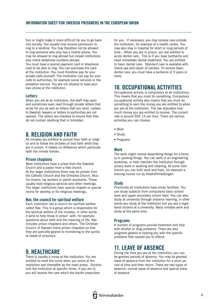tion or might make it more difficult for you to go back into society. You usually only receive permission to ring to a landline. You may therefore not be allowed to ring someone who only has a mobile phone. You may be allowed to ring abroad but closed institutions also check telephone numbers abroad. You must have a special payment card or telephone card to be able to ring. You can purchase the card at the institution. You must therefore pay for your private calls yourself. The institution can pay for your calls to authorities, for example social services or the probation service. You are not allowed to have your own phone at the institution.

#### **Letters**

When you are at an institution, the staff may open and sometimes even read through private letters that arrive for you as well as letters that you send. Letters to Swedish lawyers or letters to authorities are not opened. The letters are checked to ensure that they do not contain anything that is forbidden.

## 8. RELIGION AND FAITH

All inmates are entitled to pursue their faith or religion and to follow the dictates of that faith while they are in prison. It makes no difference which particular faith the inmate follows.

#### Prison chaplains

Most institutions have a priest from the Swedish Church and a pastor from a free church. At the larger institutions there may be priests from the Catholic Church and the Orthodox Church, Muslim imams, lay workers or parish assistants. These usually hold religious services and other meetings. The larger institutions have special chapels or special rooms for worship or for religious meetings.

#### Nav, the council for spiritual welfare

Each institution has a council for spiritual welfare called Nav. This is a group which is responsible for the spiritual welfare of the inmates, in other words it aims to help those in prison with, for example, questions about faith and the meaning of life. Nav includes prison chaplains and others. The Christian Council of Sweden trains prison chaplains so that they are specially geared to ministering to the spiritual needs of prisoners.

## 9. HEALTHCARE

There is usually a nurse at the institution. You are entitled to meet the nurse when you arrive at the institution and thereafter as the need arises. Doctors visit the institution at specific times. If you are ill, you will receive the care which the doctor prescribes

for you. If necessary, you may receive care outside the institution, for example at a health centre. You may also stay in hospital for short or long periods of time... When you are in prison, you are entitled to acute dental care. This is if you have toothache and need immediate dental treatment. You are entitled to basic dental care. Standard care is available with check-ups and repair of cavities. To receive basic dental care, you must have a sentence of 3 years or more.

## 10. OCCUPATIONAL ACTIVITIES

Occupational activity is compulsory at all institutions. This means that you must do something. Compulsory occupational activity also means that you must do something to earn the money you are entitled to when you are at the institution. The law stipulates how much money you are entitled to receive. The current rate is around SEK 13 per hour. There are various activities you can choose:

- Work
- Study
- Programs

#### Work

The work might involve assembling things for a factory or packing things. You can work in an engineering workshop, or help maintain the institution through joinery work or washing and cleaning. At some institutions you can both work and train, for example a training course run by Arbetsförmedlingen.

#### Study

Practically all institutions have study facilities. You can study subjects from compulsory basic school level and upper secondary school level. You can also study at university through distance learning, in other words you study at the institution but you are a registered student at a university. Many inmates work and study at the same time.

#### Programs

A number of programs provide treatment and help with alcohol or drug problems. There are also programs geared to helping you with the specific problems that caused you to offend.

## 11. LEAVE OF ABSENCE

During the time you are at the institution, you can be granted periods of absence. You may be granted leave of absence from the institution for a short period of time and then return. There are two types of absence: normal leave of absence and special leave of absence.

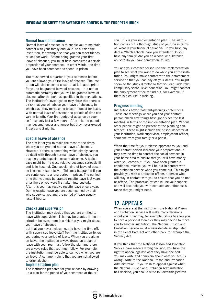#### Normal leave of absence

Normal leave of absence is to enable you to maintain contact with your family and your life outside the institution, for example so that you can meet friends or look for work. Before being granted your first leave of absence, you must have completed a certain proportion of your sentence, in other words, the time you have been sentenced to spend in prison

You must served a quarter of your sentence before you are allowed your first leave of absence. The institution will also check to ensure that it is appropriate for you to be granted leave of absence. It is not an automatic certainty that you will be granted leave of absence after the periods specified in the regulations. The institution's investigation may show that there is a risk that you will abuse your leave of absence, in which case they may say no to your request for leave. With normal leave of absence the periods of time can vary in length. Your first period of absence by yourself may only last a few hours. After this the periods may become longer and longer but they never exceed 3 days and 3 nights.

#### Special leave of absence

The aim is for you to make the most of the times when you are granted normal leave of absence. However, if there is something which simply cannot be dealt with through normal leave of absence, you may be granted special leave of absence. A typical case might be if a close relative becomes seriously ill and is in hospital. One special kind of leave of absence is called respite leave. This may be granted if you are sentenced to a long period in prison. The earliest time that you may be granted respite leave is 2 years after the day you were first taken into custody. After this you may receive respite leave once a year. During respite leave you are accompanied by staff who supervise you and the period of leave usually lasts 4 hours.

#### Checks and supervision

The institution may decide that you are entitled to leave with supervision. This may be granted if the institution believes there is a risk that you might abuse your leave of absence

but that you nevertheless need to have the time off. With supervised leave staff from the institution follow you during your period of leave. When you are alone on leave, the institution always draws up a plan of leave with you. You must follow the plan and there are always rules that you must follow. For example, the institution must be able to call you when you are on leave. A common rule is that you are not allowed to drink alcohol.

#### Implementation plan

The institution prepares for your release by drawing up a plan for the period of your sentence at the prison. This is your implementation plan. The institution carries out a thorough study of your life in terms of: What is your financial situation? Do you have any debts? Which schools have you attended? Do you have any family? Are you an alcohol or substance abuser? Do you have somewhere to live?

You and your contact person use the implementation plan to see what you want to do while you at the institution. You might make contact with the enforcement service so that you can pay off your debts. You might speak to the study director so that you can undertake compulsory school level education. You might contact the employment office to find out, for example, if there is a course in welding.

#### Progress meeting

Institutions have treatment-planning conferences. These are meetings where you and your contact person check how things have gone since the last meeting in terms of the implementation plan. Various other people might be present at the planning conference. These might include the prison inspector at your institution, work supervisor, employment officer, someone from your family or a priest.

When the time for your release approaches, you and your contact person increase your preparations. It may now be time to contact the social services in your home area to ensure that you will have money when you come out. If you have been granted a conditional release, you will be put in contact with the probation service when you come out. This might provide you with a probation officer, a person who will stay in contact with you to ensure that you do not re-offend. The probation officer will be your support and will also help you with contacts and other assistance that you might need.

### 12. APPEALS

When you are at the institution, the National Prison and Probation Service will make many decisions about you. They may, for example, refuse to allow you to have a personal stereo or they may decide to move you to another institution. The National Prison and Probation Service must always decide as stipulated in the Penal Care Act and other laws, for example the Secrecy Act.

If you think that the National Prison and Probation Service have made a wrong decision, you have the right to appeal against what they have decided. You may write and complain about what you feel is wrong. Write to the National Prison and Probation Administration. If you wish to appeal against what the National Prison and Probation Administration has decided, you should write to Förvaltningsrätten